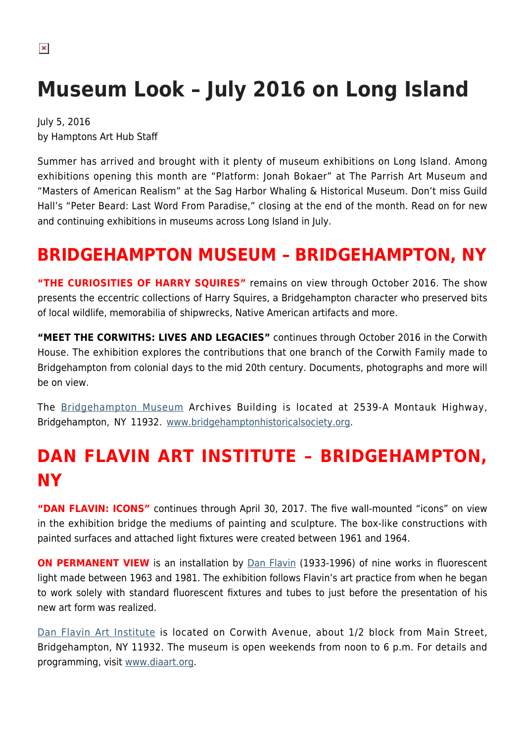# **Museum Look – July 2016 on Long Island**

July 5, 2016 by Hamptons Art Hub Staff

Summer has arrived and brought with it plenty of museum exhibitions on Long Island. Among exhibitions opening this month are "Platform: Jonah Bokaer" at The Parrish Art Museum and "Masters of American Realism" at the Sag Harbor Whaling & Historical Museum. Don't miss Guild Hall's "Peter Beard: Last Word From Paradise," closing at the end of the month. Read on for new and continuing exhibitions in museums across Long Island in July.

### **BRIDGEHAMPTON MUSEUM – BRIDGEHAMPTON, NY**

**"THE CURIOSITIES OF HARRY SQUIRES"** remains on view through October 2016. The show presents the eccentric collections of Harry Squires, a Bridgehampton character who preserved bits of local wildlife, memorabilia of shipwrecks, Native American artifacts and more.

**"MEET THE CORWITHS: LIVES AND LEGACIES"** continues through October 2016 in the Corwith House. The exhibition explores the contributions that one branch of the Corwith Family made to Bridgehampton from colonial days to the mid 20th century. Documents, photographs and more will be on view.

The [Bridgehampton Museum](https://hamptonsarthub.com/museum-guide/bridgehampton-museum/) Archives Building is located at 2539-A Montauk Highway, Bridgehampton, NY 11932. [www.bridgehamptonhistoricalsociety.org](http://www.bridgehamptonhistoricalsociety.org).

## **DAN FLAVIN ART INSTITUTE – BRIDGEHAMPTON, NY**

"DAN FLAVIN: ICONS" continues through April 30, 2017. The five wall-mounted "icons" on view in the exhibition bridge the mediums of painting and sculpture. The box-like constructions with painted surfaces and attached light fixtures were created between 1961 and 1964.

**ON PERMANENT VIEW** is an installation by [Dan Flavin](https://en.wikipedia.org/wiki/Dan_Flavin) (1933-1996) of nine works in fluorescent light made between 1963 and 1981. The exhibition follows Flavin's art practice from when he began to work solely with standard fluorescent fixtures and tubes to just before the presentation of his new art form was realized.

[Dan Flavin Art Institute](https://hamptonsarthub.com/museum-guide/dan-flavin-art-institute/) is located on Corwith Avenue, about 1/2 block from Main Street, Bridgehampton, NY 11932. The museum is open weekends from noon to 6 p.m. For details and programming, visit [www.diaart.org.](http://www.diaart.org)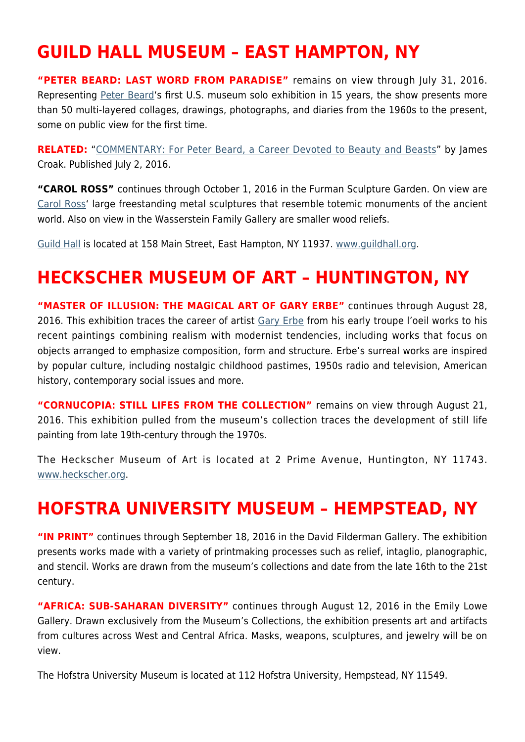## **GUILD HALL MUSEUM – EAST HAMPTON, NY**

**"PETER BEARD: LAST WORD FROM PARADISE"** remains on view through July 31, 2016. Representing [Peter Beard'](https://hamptonsarthub.com/2016/07/02/reviews-commentary-for-peter-beard-a-career-devoted-to-beauty-and-beasts/)s first U.S. museum solo exhibition in 15 years, the show presents more than 50 multi-layered collages, drawings, photographs, and diaries from the 1960s to the present, some on public view for the first time.

**RELATED:** "[COMMENTARY: For Peter Beard, a Career Devoted to Beauty and Beasts](https://hamptonsarthub.com/2016/07/02/reviews-commentary-for-peter-beard-a-career-devoted-to-beauty-and-beasts/)" by James Croak. Published July 2, 2016.

**"CAROL ROSS"** continues through October 1, 2016 in the Furman Sculpture Garden. On view are [Carol Ross'](http://carolross-artworks.net/) large freestanding metal sculptures that resemble totemic monuments of the ancient world. Also on view in the Wasserstein Family Gallery are smaller wood reliefs.

[Guild Hall](https://hamptonsarthub.com/museum-guide/guild-hall/) is located at 158 Main Street, East Hampton, NY 11937. [www.guildhall.org](http://www.guildhall.org).

#### **HECKSCHER MUSEUM OF ART – HUNTINGTON, NY**

**"MASTER OF ILLUSION: THE MAGICAL ART OF GARY ERBE"** continues through August 28, 2016. This exhibition traces the career of artist [Gary Erbe](http://www.garyerbe.com/) from his early troupe l'oeil works to his recent paintings combining realism with modernist tendencies, including works that focus on objects arranged to emphasize composition, form and structure. Erbe's surreal works are inspired by popular culture, including nostalgic childhood pastimes, 1950s radio and television, American history, contemporary social issues and more.

**"CORNUCOPIA: STILL LIFES FROM THE COLLECTION"** remains on view through August 21, 2016. This exhibition pulled from the museum's collection traces the development of still life painting from late 19th-century through the 1970s.

The Heckscher Museum of Art is located at 2 Prime Avenue, Huntington, NY 11743. [www.heckscher.org](http://www.heckscher.org).

#### **HOFSTRA UNIVERSITY MUSEUM – HEMPSTEAD, NY**

**"IN PRINT"** continues through September 18, 2016 in the David Filderman Gallery. The exhibition presents works made with a variety of printmaking processes such as relief, intaglio, planographic, and stencil. Works are drawn from the museum's collections and date from the late 16th to the 21st century.

**"AFRICA: SUB-SAHARAN DIVERSITY"** continues through August 12, 2016 in the Emily Lowe Gallery. Drawn exclusively from the Museum's Collections, the exhibition presents art and artifacts from cultures across West and Central Africa. Masks, weapons, sculptures, and jewelry will be on view.

The Hofstra University Museum is located at 112 Hofstra University, Hempstead, NY 11549.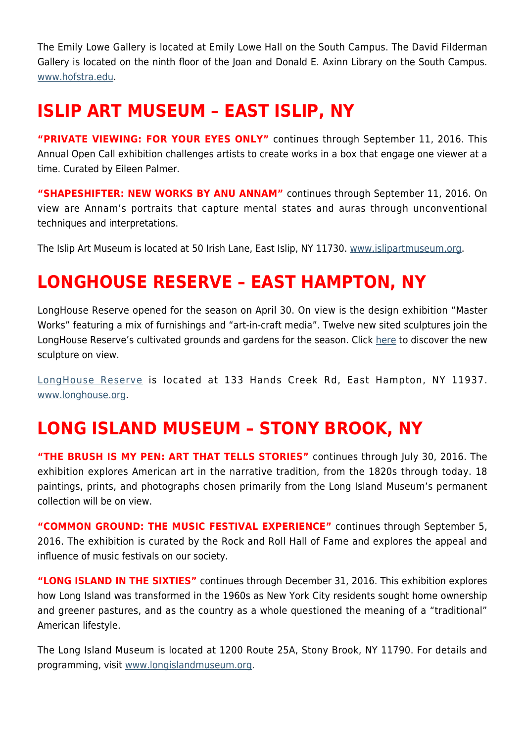The Emily Lowe Gallery is located at Emily Lowe Hall on the South Campus. The David Filderman Gallery is located on the ninth floor of the Joan and Donald E. Axinn Library on the South Campus. [www.hofstra.edu.](http://www.hofstra.edu)

#### **ISLIP ART MUSEUM – EAST ISLIP, NY**

**"PRIVATE VIEWING: FOR YOUR EYES ONLY"** continues through September 11, 2016. This Annual Open Call exhibition challenges artists to create works in a box that engage one viewer at a time. Curated by Eileen Palmer.

**"SHAPESHIFTER: NEW WORKS BY ANU ANNAM"** continues through September 11, 2016. On view are Annam's portraits that capture mental states and auras through unconventional techniques and interpretations.

The Islip Art Museum is located at 50 Irish Lane, East Islip, NY 11730. [www.islipartmuseum.org.](http://www.islipartmuseum.org)

#### **LONGHOUSE RESERVE – EAST HAMPTON, NY**

LongHouse Reserve opened for the season on April 30. On view is the design exhibition "Master Works" featuring a mix of furnishings and "art-in-craft media". Twelve new sited sculptures join the LongHouse Reserve's cultivated grounds and gardens for the season. Click [here](https://hamptonsarthub.com/2016/04/27/exhibitions-new-sculptures-unveiled-for-longhouses-summer-season/) to discover the new sculpture on view.

[LongHouse Reserve](https://hamptonsarthub.com/museum-guide/longhouse-reserve/) is located at 133 Hands Creek Rd, East Hampton, NY 11937. [www.longhouse.org.](http://www.longhouse.org)

#### **LONG ISLAND MUSEUM – STONY BROOK, NY**

**"THE BRUSH IS MY PEN: ART THAT TELLS STORIES"** continues through July 30, 2016. The exhibition explores American art in the narrative tradition, from the 1820s through today. 18 paintings, prints, and photographs chosen primarily from the Long Island Museum's permanent collection will be on view.

**"COMMON GROUND: THE MUSIC FESTIVAL EXPERIENCE"** continues through September 5, 2016. The exhibition is curated by the Rock and Roll Hall of Fame and explores the appeal and influence of music festivals on our society.

**"LONG ISLAND IN THE SIXTIES"** continues through December 31, 2016. This exhibition explores how Long Island was transformed in the 1960s as New York City residents sought home ownership and greener pastures, and as the country as a whole questioned the meaning of a "traditional" American lifestyle.

The Long Island Museum is located at 1200 Route 25A, Stony Brook, NY 11790. For details and programming, visit [www.longislandmuseum.org.](http://www.longislandmuseum.org)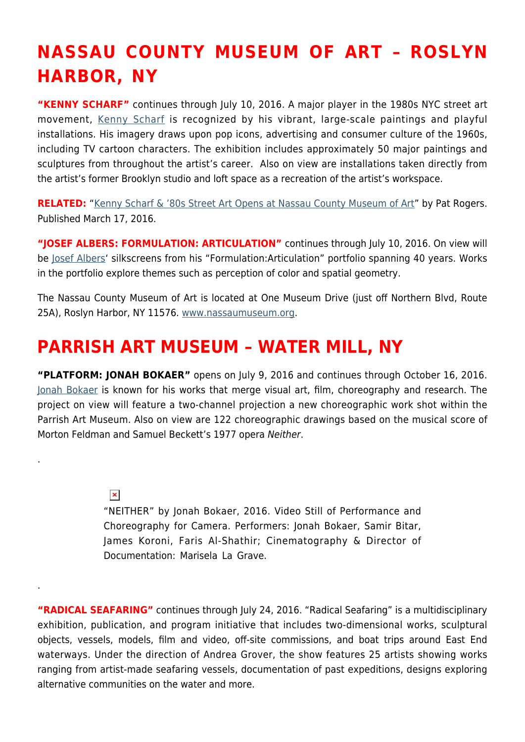## **NASSAU COUNTY MUSEUM OF ART – ROSLYN HARBOR, NY**

**"KENNY SCHARF"** continues through July 10, 2016. A major player in the 1980s NYC street art movement, [Kenny Scharf](#page--1-0) is recognized by his vibrant, large-scale paintings and playful installations. His imagery draws upon pop icons, advertising and consumer culture of the 1960s, including TV cartoon characters. The exhibition includes approximately 50 major paintings and sculptures from throughout the artist's career. Also on view are installations taken directly from the artist's former Brooklyn studio and loft space as a recreation of the artist's workspace.

**RELATED:** "[Kenny Scharf & '80s Street Art Opens at Nassau County Museum of Art](https://hamptonsarthub.com/2016/03/17/exhibitions-museums-kenny-scharf-80s-street-art-opens-at-nassau-county-museum-of-art/)" by Pat Rogers. Published March 17, 2016.

"JOSEF ALBERS: FORMULATION: ARTICULATION" continues through July 10, 2016. On view will be [Josef Albers'](http://www.albersfoundation.org/) silkscreens from his "Formulation:Articulation" portfolio spanning 40 years. Works in the portfolio explore themes such as perception of color and spatial geometry.

The Nassau County Museum of Art is located at One Museum Drive (just off Northern Blvd, Route 25A), Roslyn Harbor, NY 11576. [www.nassaumuseum.org](http://www.nassaumuseum.org).

## **PARRISH ART MUSEUM – WATER MILL, NY**

**"PLATFORM: JONAH BOKAER"** opens on July 9, 2016 and continues through October 16, 2016. [Jonah Bokaer](http://jonahbokaer.net/) is known for his works that merge visual art, film, choreography and research. The project on view will feature a two-channel projection a new choreographic work shot within the Parrish Art Museum. Also on view are 122 choreographic drawings based on the musical score of Morton Feldman and Samuel Beckett's 1977 opera Neither.

#### $\pmb{\times}$

.

.

"NEITHER" by Jonah Bokaer, 2016. Video Still of Performance and Choreography for Camera. Performers: Jonah Bokaer, Samir Bitar, James Koroni, Faris Al-Shathir; Cinematography & Director of Documentation: Marisela La Grave.

**"RADICAL SEAFARING"** continues through July 24, 2016. "Radical Seafaring" is a multidisciplinary exhibition, publication, and program initiative that includes two-dimensional works, sculptural objects, vessels, models, film and video, off-site commissions, and boat trips around East End waterways. Under the direction of Andrea Grover, the show features 25 artists showing works ranging from artist-made seafaring vessels, documentation of past expeditions, designs exploring alternative communities on the water and more.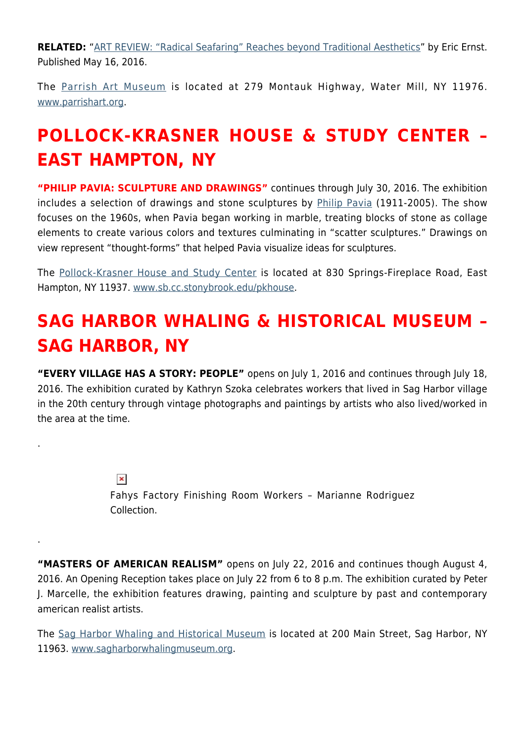**RELATED:** "[ART REVIEW: "Radical Seafaring" Reaches beyond Traditional Aesthetics"](https://hamptonsarthub.com/2016/05/16/art-review-radical-seafaring-reaches-beyond-traditional-aesthetics/) by Eric Ernst. Published May 16, 2016.

The [Parrish Art Museum](https://hamptonsarthub.com/museum-guide/the-parrish-art-museum/) is located at 279 Montauk Highway, Water Mill, NY 11976. [www.parrishart.org](http://www.parrishart.org).

## **POLLOCK-KRASNER HOUSE & STUDY CENTER – EAST HAMPTON, NY**

**"PHILIP PAVIA: SCULPTURE AND DRAWINGS"** continues through July 30, 2016. The exhibition includes a selection of drawings and stone sculptures by [Philip Pavia](http://philippavia.com/) (1911-2005). The show focuses on the 1960s, when Pavia began working in marble, treating blocks of stone as collage elements to create various colors and textures culminating in "scatter sculptures." Drawings on view represent "thought-forms" that helped Pavia visualize ideas for sculptures.

The [Pollock-Krasner House and Study Center](https://hamptonsarthub.com/museum-guide/pollock-krasner-house-and-study-center/) is located at 830 Springs-Fireplace Road, East Hampton, NY 11937. [www.sb.cc.stonybrook.edu/pkhouse.](http://sb.cc.stonybrook.edu/pkhouse/)

## **SAG HARBOR WHALING & HISTORICAL MUSEUM – SAG HARBOR, NY**

**"EVERY VILLAGE HAS A STORY: PEOPLE"** opens on July 1, 2016 and continues through July 18, 2016. The exhibition curated by Kathryn Szoka celebrates workers that lived in Sag Harbor village in the 20th century through vintage photographs and paintings by artists who also lived/worked in the area at the time.

> $\pmb{\times}$ Fahys Factory Finishing Room Workers – Marianne Rodriguez Collection.

.

.

**"MASTERS OF AMERICAN REALISM"** opens on July 22, 2016 and continues though August 4, 2016. An Opening Reception takes place on July 22 from 6 to 8 p.m. The exhibition curated by Peter J. Marcelle, the exhibition features drawing, painting and sculpture by past and contemporary american realist artists.

The [Sag Harbor Whaling and Historical Museum](https://hamptonsarthub.com/museum-guide/sag-harbor-whaling-museum/) is located at 200 Main Street, Sag Harbor, NY 11963. [www.sagharborwhalingmuseum.org](http://www.sagharborwhalingmuseum.org).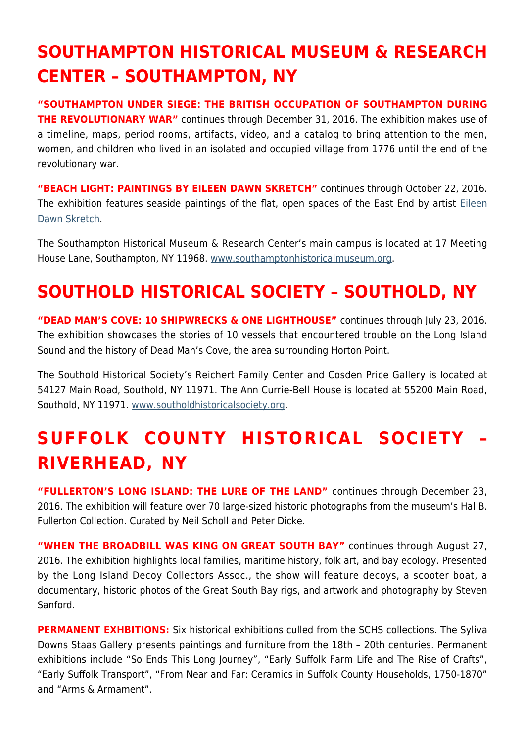## **SOUTHAMPTON HISTORICAL MUSEUM & RESEARCH CENTER – SOUTHAMPTON, NY**

**"SOUTHAMPTON UNDER SIEGE: THE BRITISH OCCUPATION OF SOUTHAMPTON DURING THE REVOLUTIONARY WAR"** continues through December 31, 2016. The exhibition makes use of a timeline, maps, period rooms, artifacts, video, and a catalog to bring attention to the men, women, and children who lived in an isolated and occupied village from 1776 until the end of the revolutionary war.

**"BEACH LIGHT: PAINTINGS BY EILEEN DAWN SKRETCH"** continues through October 22, 2016. The exhibition features seaside paintings of the flat, open spaces of the East End by artist [Eileen](http://www.eileendawnskretch.com/) [Dawn Skretch](http://www.eileendawnskretch.com/).

The Southampton Historical Museum & Research Center's main campus is located at 17 Meeting House Lane, Southampton, NY 11968. [www.southamptonhistoricalmuseum.org](http://www.southamptonhistoricalmuseum.org).

## **SOUTHOLD HISTORICAL SOCIETY – SOUTHOLD, NY**

**"DEAD MAN'S COVE: 10 SHIPWRECKS & ONE LIGHTHOUSE"** continues through July 23, 2016. The exhibition showcases the stories of 10 vessels that encountered trouble on the Long Island Sound and the history of Dead Man's Cove, the area surrounding Horton Point.

The Southold Historical Society's Reichert Family Center and Cosden Price Gallery is located at 54127 Main Road, Southold, NY 11971. The Ann Currie-Bell House is located at 55200 Main Road, Southold, NY 11971. [www.southoldhistoricalsociety.org](http://www.southoldhistoricalsociety.org).

## **SUFFOLK COUNTY HISTORICAL SOCIETY – RIVERHEAD, NY**

**"FULLERTON'S LONG ISLAND: THE LURE OF THE LAND"** continues through December 23, 2016. The exhibition will feature over 70 large-sized historic photographs from the museum's Hal B. Fullerton Collection. Curated by Neil Scholl and Peter Dicke.

**"WHEN THE BROADBILL WAS KING ON GREAT SOUTH BAY"** continues through August 27, 2016. The exhibition highlights local families, maritime history, folk art, and bay ecology. Presented by the Long Island Decoy Collectors Assoc., the show will feature decoys, a scooter boat, a documentary, historic photos of the Great South Bay rigs, and artwork and photography by Steven Sanford.

**PERMANENT EXHBITIONS:** Six historical exhibitions culled from the SCHS collections. The Syliva Downs Staas Gallery presents paintings and furniture from the 18th – 20th centuries. Permanent exhibitions include "So Ends This Long Journey", "Early Suffolk Farm Life and The Rise of Crafts", "Early Suffolk Transport", "From Near and Far: Ceramics in Suffolk County Households, 1750-1870" and "Arms & Armament".